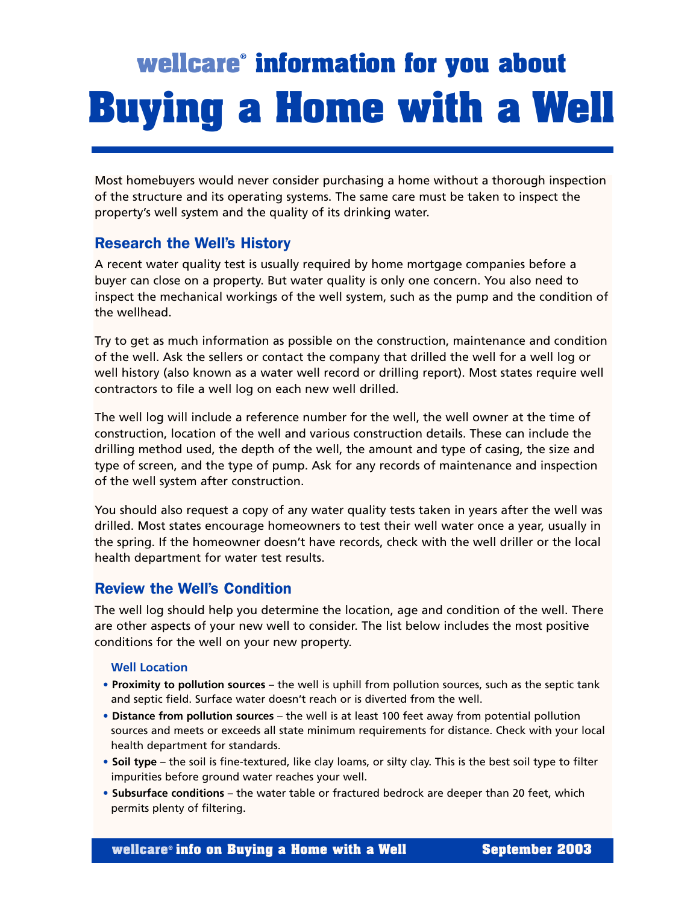# **wellcare**® **information for you about Buying a Home with a Well**

Most homebuyers would never consider purchasing a home without a thorough inspection of the structure and its operating systems. The same care must be taken to inspect the property's well system and the quality of its drinking water.

# Research the Well's History

A recent water quality test is usually required by home mortgage companies before a buyer can close on a property. But water quality is only one concern. You also need to inspect the mechanical workings of the well system, such as the pump and the condition of the wellhead.

Try to get as much information as possible on the construction, maintenance and condition of the well. Ask the sellers or contact the company that drilled the well for a well log or well history (also known as a water well record or drilling report). Most states require well contractors to file a well log on each new well drilled.

The well log will include a reference number for the well, the well owner at the time of construction, location of the well and various construction details. These can include the drilling method used, the depth of the well, the amount and type of casing, the size and type of screen, and the type of pump. Ask for any records of maintenance and inspection of the well system after construction.

You should also request a copy of any water quality tests taken in years after the well was drilled. Most states encourage homeowners to test their well water once a year, usually in the spring. If the homeowner doesn't have records, check with the well driller or the local health department for water test results.

# Review the Well's Condition

The well log should help you determine the location, age and condition of the well. There are other aspects of your new well to consider. The list below includes the most positive conditions for the well on your new property.

#### **Well Location**

- **Proximity to pollution sources** the well is uphill from pollution sources, such as the septic tank and septic field. Surface water doesn't reach or is diverted from the well.
- **Distance from pollution sources**  the well is at least 100 feet away from potential pollution sources and meets or exceeds all state minimum requirements for distance. Check with your local health department for standards.
- **Soil type** the soil is fine-textured, like clay loams, or silty clay. This is the best soil type to filter impurities before ground water reaches your well.
- **Subsurface conditions** the water table or fractured bedrock are deeper than 20 feet, which permits plenty of filtering.

**wellcare**<sup>®</sup> info on Buying a Home with a Well September 2003